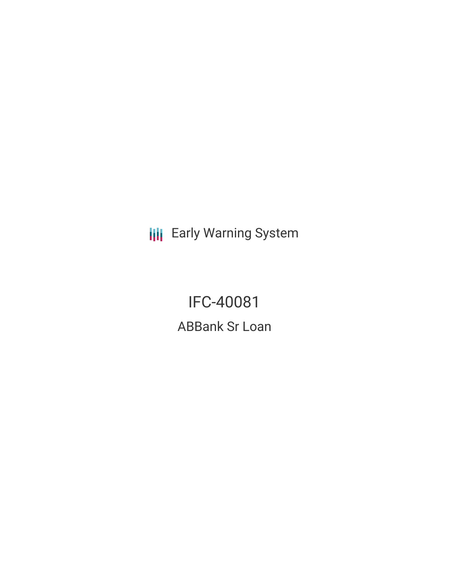**III** Early Warning System

IFC-40081 ABBank Sr Loan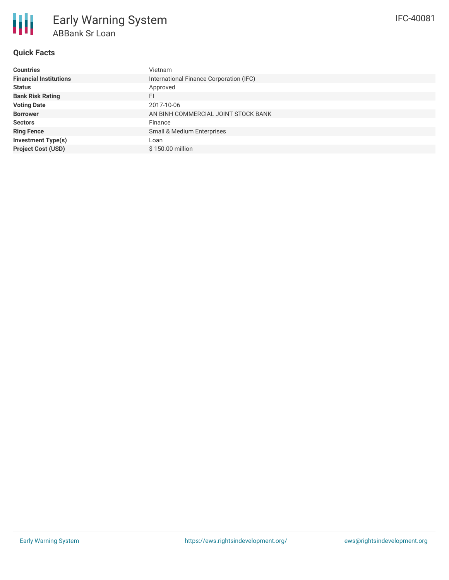

# **Quick Facts**

| <b>Countries</b>              | Vietnam                                 |
|-------------------------------|-----------------------------------------|
| <b>Financial Institutions</b> | International Finance Corporation (IFC) |
| <b>Status</b>                 | Approved                                |
| <b>Bank Risk Rating</b>       | FI                                      |
| <b>Voting Date</b>            | 2017-10-06                              |
| <b>Borrower</b>               | AN BINH COMMERCIAL JOINT STOCK BANK     |
| <b>Sectors</b>                | Finance                                 |
| <b>Ring Fence</b>             | Small & Medium Enterprises              |
| <b>Investment Type(s)</b>     | Loan                                    |
| <b>Project Cost (USD)</b>     | \$150,00 million                        |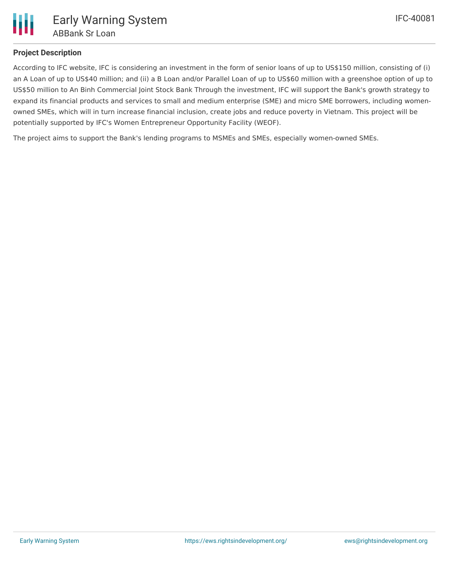

# **Project Description**

According to IFC website, IFC is considering an investment in the form of senior loans of up to US\$150 million, consisting of (i) an A Loan of up to US\$40 million; and (ii) a B Loan and/or Parallel Loan of up to US\$60 million with a greenshoe option of up to US\$50 million to An Binh Commercial Joint Stock Bank Through the investment, IFC will support the Bank's growth strategy to expand its financial products and services to small and medium enterprise (SME) and micro SME borrowers, including womenowned SMEs, which will in turn increase financial inclusion, create jobs and reduce poverty in Vietnam. This project will be potentially supported by IFC's Women Entrepreneur Opportunity Facility (WEOF).

The project aims to support the Bank's lending programs to MSMEs and SMEs, especially women-owned SMEs.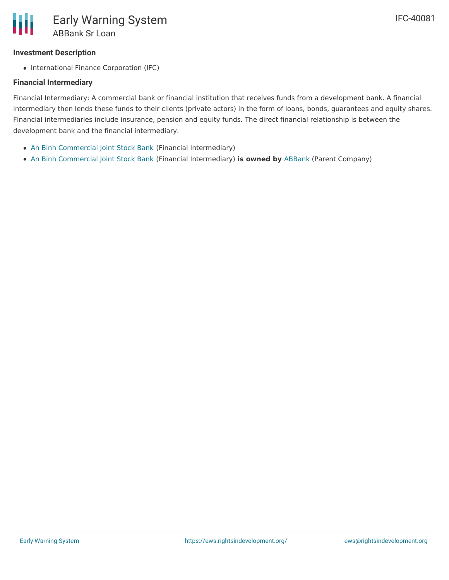## **Investment Description**

• International Finance Corporation (IFC)

### **Financial Intermediary**

Financial Intermediary: A commercial bank or financial institution that receives funds from a development bank. A financial intermediary then lends these funds to their clients (private actors) in the form of loans, bonds, guarantees and equity shares. Financial intermediaries include insurance, pension and equity funds. The direct financial relationship is between the development bank and the financial intermediary.

- An Binh [Commercial](file:///actor/1068/) Joint Stock Bank (Financial Intermediary)
- An Binh [Commercial](file:///actor/1068/) Joint Stock Bank (Financial Intermediary) **is owned by** [ABBank](file:///actor/3553/) (Parent Company)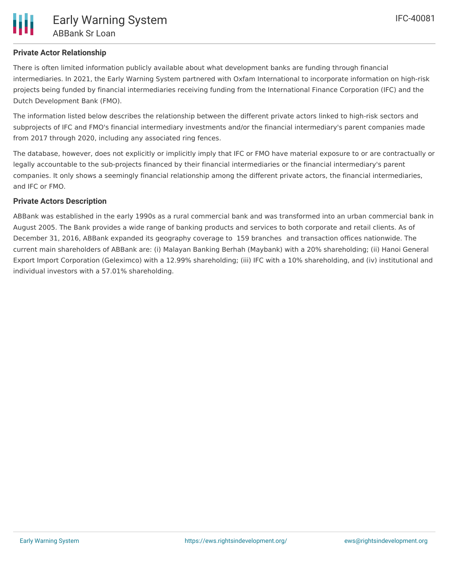There is often limited information publicly available about what development banks are funding through financial intermediaries. In 2021, the Early Warning System partnered with Oxfam International to incorporate information on high-risk projects being funded by financial intermediaries receiving funding from the International Finance Corporation (IFC) and the Dutch Development Bank (FMO).

The information listed below describes the relationship between the different private actors linked to high-risk sectors and subprojects of IFC and FMO's financial intermediary investments and/or the financial intermediary's parent companies made from 2017 through 2020, including any associated ring fences.

The database, however, does not explicitly or implicitly imply that IFC or FMO have material exposure to or are contractually or legally accountable to the sub-projects financed by their financial intermediaries or the financial intermediary's parent companies. It only shows a seemingly financial relationship among the different private actors, the financial intermediaries, and IFC or FMO.

### **Private Actors Description**

ABBank was established in the early 1990s as a rural commercial bank and was transformed into an urban commercial bank in August 2005. The Bank provides a wide range of banking products and services to both corporate and retail clients. As of December 31, 2016, ABBank expanded its geography coverage to 159 branches and transaction offices nationwide. The current main shareholders of ABBank are: (i) Malayan Banking Berhah (Maybank) with a 20% shareholding; (ii) Hanoi General Export Import Corporation (Geleximco) with a 12.99% shareholding; (iii) IFC with a 10% shareholding, and (iv) institutional and individual investors with a 57.01% shareholding.